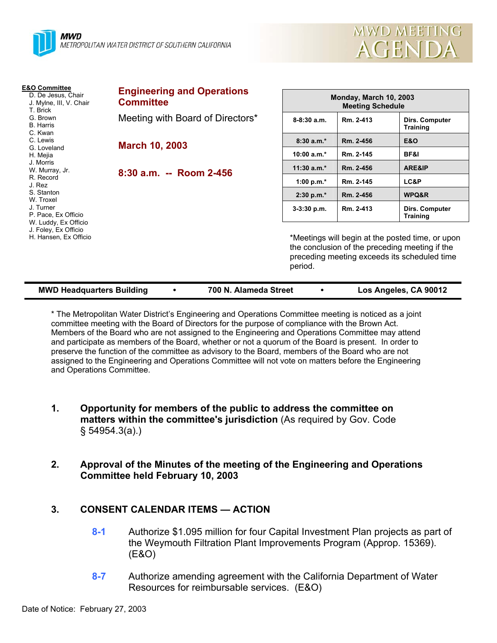

**E&O Committee** D. De Jesus, Chair J. Mylne, III, V. Chair

P. Pace, Ex Officio W. Luddy, Ex Officio J. Foley, Ex Officio H. Hansen, Ex Officio

T. Brick G. Brown B. Harris C. Kwan C. Lewis G. Loveland H. Mejia J. Morris W. Murray, Jr. R. Record J. Rez S. Stanton W. Troxel J. Turner

| <b>Engineering and Operations</b><br><b>Committee</b> | <b>Monday, March 10, 2003</b><br><b>Meeting Schedule</b> |           |                                          |
|-------------------------------------------------------|----------------------------------------------------------|-----------|------------------------------------------|
| Meeting with Board of Directors*                      | $8-8:30a.m.$                                             | Rm. 2-413 | Dirs. Computer<br><b>Training</b>        |
| <b>March 10, 2003</b>                                 | $8:30a.m.*$                                              | Rm. 2-456 | <b>E&amp;O</b>                           |
|                                                       | $10:00 a.m.*$                                            | Rm. 2-145 | BF&I                                     |
| 8:30 a.m. -- Room 2-456                               | $11:30$ a.m.*                                            | Rm. 2-456 | ARE&IP                                   |
|                                                       | 1:00 p.m. $*$                                            | Rm. 2-145 | LC&P                                     |
|                                                       | 2:30 p.m.*                                               | Rm. 2-456 | WPQ&R                                    |
|                                                       | $3-3:30$ p.m.                                            | Rm. 2-413 | <b>Dirs. Computer</b><br><b>Training</b> |

Meetings will begin at the posted time, or upon the conclusion of the preceding meeting if the preceding meeting exceeds its scheduled time period.

MWD MEETING

**AGENDA** 

| <b>MWD Headquarters Building</b> |  | 700 N. Alameda Street |  | Los Angeles, CA 90012 |
|----------------------------------|--|-----------------------|--|-----------------------|
|----------------------------------|--|-----------------------|--|-----------------------|

\* The Metropolitan Water District's Engineering and Operations Committee meeting is noticed as a joint committee meeting with the Board of Directors for the purpose of compliance with the Brown Act. Members of the Board who are not assigned to the Engineering and Operations Committee may attend and participate as members of the Board, whether or not a quorum of the Board is present. In order to preserve the function of the committee as advisory to the Board, members of the Board who are not assigned to the Engineering and Operations Committee will not vote on matters before the Engineering and Operations Committee.

- **1. Opportunity for members of the public to address the committee on matters within the committee's jurisdiction** (As required by Gov. Code § 54954.3(a).)
- **2. Approval of the Minutes of the meeting of the Engineering and Operations Committee held February 10, 2003**

### **3. CONSENT CALENDAR ITEMS — ACTION**

- **8-1** Authorize \$1.095 million for four Capital Investment Plan projects as part of the Weymouth Filtration Plant Improvements Program (Approp. 15369). (E&O)
- **8-7** Authorize amending agreement with the California Department of Water Resources for reimbursable services. (E&O)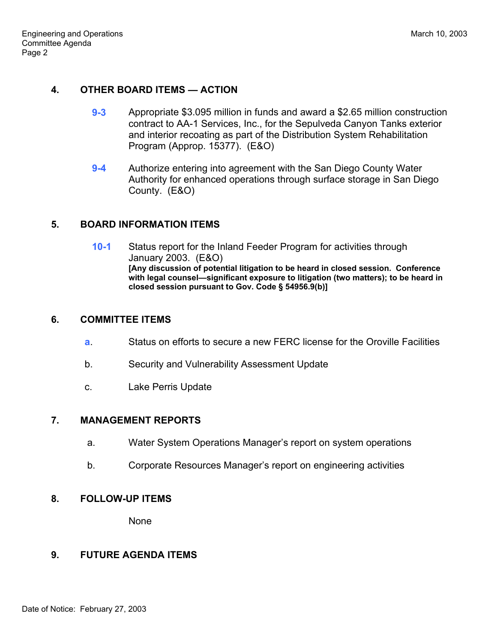## **4. OTHER BOARD ITEMS — ACTION**

- **9-3** Appropriate \$3.095 million in funds and award a \$2.65 million construction contract to AA-1 Services, Inc., for the Sepulveda Canyon Tanks exterior and interior recoating as part of the Distribution System Rehabilitation Program (Approp. 15377). (E&O)
- **9-4** Authorize entering into agreement with the San Diego County Water Authority for enhanced operations through surface storage in San Diego County. (E&O)

# **5. BOARD INFORMATION ITEMS**

**10-1** Status report for the Inland Feeder Program for activities through January 2003. (E&O) **[Any discussion of potential litigation to be heard in closed session. Conference with legal counsel—significant exposure to litigation (two matters); to be heard in closed session pursuant to Gov. Code § 54956.9(b)]**

### **6. COMMITTEE ITEMS**

- **a**. Status on efforts to secure a new FERC license for the Oroville Facilities
- b. Security and Vulnerability Assessment Update
- c. Lake Perris Update

### **7. MANAGEMENT REPORTS**

- a. Water System Operations Manager's report on system operations
- b. Corporate Resources Manager's report on engineering activities

### **8. FOLLOW-UP ITEMS**

None

### **9. FUTURE AGENDA ITEMS**